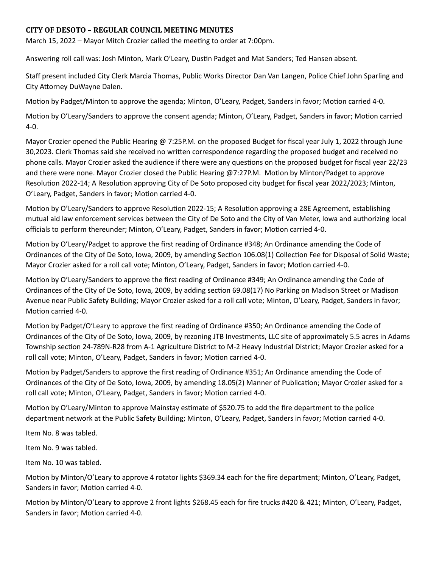## **CITY OF DESOTO – REGULAR COUNCIL MEETING MINUTES**

March 15, 2022 – Mayor Mitch Crozier called the meeting to order at 7:00pm.

Answering roll call was: Josh Minton, Mark O'Leary, Dustin Padget and Mat Sanders; Ted Hansen absent.

Staff present included City Clerk Marcia Thomas, Public Works Director Dan Van Langen, Police Chief John Sparling and City Attorney DuWayne Dalen.

Motion by Padget/Minton to approve the agenda; Minton, O'Leary, Padget, Sanders in favor; Motion carried 4-0.

Motion by O'Leary/Sanders to approve the consent agenda; Minton, O'Leary, Padget, Sanders in favor; Motion carried 4-0.

Mayor Crozier opened the Public Hearing @ 7:25P.M. on the proposed Budget for fiscal year July 1, 2022 through June 30,2023. Clerk Thomas said she received no written correspondence regarding the proposed budget and received no phone calls. Mayor Crozier asked the audience if there were any questions on the proposed budget for fiscal year 22/23 and there were none. Mayor Crozier closed the Public Hearing @7:27P.M. Motion by Minton/Padget to approve Resolution 2022-14; A Resolution approving City of De Soto proposed city budget for fiscal year 2022/2023; Minton, O'Leary, Padget, Sanders in favor; Motion carried 4-0.

Motion by O'Leary/Sanders to approve Resolution 2022-15; A Resolution approving a 28E Agreement, establishing mutual aid law enforcement services between the City of De Soto and the City of Van Meter, Iowa and authorizing local officials to perform thereunder; Minton, O'Leary, Padget, Sanders in favor; Motion carried 4-0.

Motion by O'Leary/Padget to approve the first reading of Ordinance #348; An Ordinance amending the Code of Ordinances of the City of De Soto, Iowa, 2009, by amending Section 106.08(1) Collection Fee for Disposal of Solid Waste; Mayor Crozier asked for a roll call vote; Minton, O'Leary, Padget, Sanders in favor; Motion carried 4-0.

Motion by O'Leary/Sanders to approve the first reading of Ordinance #349; An Ordinance amending the Code of Ordinances of the City of De Soto, Iowa, 2009, by adding section 69.08(17) No Parking on Madison Street or Madison Avenue near Public Safety Building; Mayor Crozier asked for a roll call vote; Minton, O'Leary, Padget, Sanders in favor; Motion carried 4-0.

Motion by Padget/O'Leary to approve the first reading of Ordinance #350; An Ordinance amending the Code of Ordinances of the City of De Soto, Iowa, 2009, by rezoning JTB Investments, LLC site of approximately 5.5 acres in Adams Township section 24-789N-R28 from A-1 Agriculture District to M-2 Heavy Industrial District; Mayor Crozier asked for a roll call vote; Minton, O'Leary, Padget, Sanders in favor; Motion carried 4-0.

Motion by Padget/Sanders to approve the first reading of Ordinance #351; An Ordinance amending the Code of Ordinances of the City of De Soto, Iowa, 2009, by amending 18.05(2) Manner of Publication; Mayor Crozier asked for a roll call vote; Minton, O'Leary, Padget, Sanders in favor; Motion carried 4-0.

Motion by O'Leary/Minton to approve Mainstay estimate of \$520.75 to add the fire department to the police department network at the Public Safety Building; Minton, O'Leary, Padget, Sanders in favor; Motion carried 4-0.

Item No. 8 was tabled.

Item No. 9 was tabled.

Item No. 10 was tabled.

Motion by Minton/O'Leary to approve 4 rotator lights \$369.34 each for the fire department; Minton, O'Leary, Padget, Sanders in favor; Motion carried 4-0.

Motion by Minton/O'Leary to approve 2 front lights \$268.45 each for fire trucks #420 & 421; Minton, O'Leary, Padget, Sanders in favor; Motion carried 4-0.